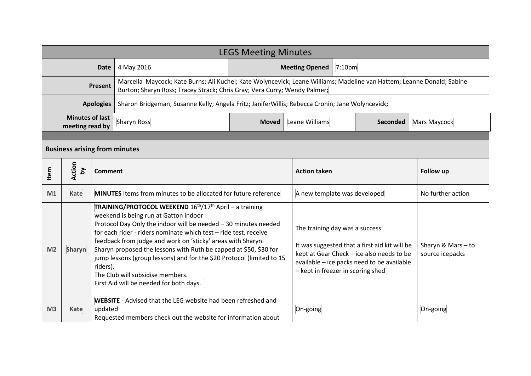| <b>LEGS Meeting Minutes</b>               |                                      |          |                                                                                                                                                                                                                                                                                                                                                                                                                                                                                                                                                            |                                     |                                   |                                                                                                                                                                                                                 |                  |                                     |  |
|-------------------------------------------|--------------------------------------|----------|------------------------------------------------------------------------------------------------------------------------------------------------------------------------------------------------------------------------------------------------------------------------------------------------------------------------------------------------------------------------------------------------------------------------------------------------------------------------------------------------------------------------------------------------------------|-------------------------------------|-----------------------------------|-----------------------------------------------------------------------------------------------------------------------------------------------------------------------------------------------------------------|------------------|-------------------------------------|--|
| <b>Date</b>                               |                                      |          | 4 May 2016                                                                                                                                                                                                                                                                                                                                                                                                                                                                                                                                                 | $ 7:10$ pm<br><b>Meeting Opened</b> |                                   |                                                                                                                                                                                                                 |                  |                                     |  |
| Present                                   |                                      |          | Marcella Maycock; Kate Burns; Ali Kuchel; Kate Wolyncevick; Leane Williams; Madeline van Hattem; Leanne Donald; Sabine<br>Burton; Sharyn Ross; Tracey Strack; Chris Gray; Vera Curry; Wendy Palmer;                                                                                                                                                                                                                                                                                                                                                        |                                     |                                   |                                                                                                                                                                                                                 |                  |                                     |  |
| <b>Apologies</b>                          |                                      |          | Sharon Bridgeman; Susanne Kelly; Angela Fritz; JaniferWillis; Rebecca Cronin; Jane Wolyncevick;                                                                                                                                                                                                                                                                                                                                                                                                                                                            |                                     |                                   |                                                                                                                                                                                                                 |                  |                                     |  |
| <b>Minutes of last</b><br>meeting read by |                                      |          | <b>Sharyn Ross</b>                                                                                                                                                                                                                                                                                                                                                                                                                                                                                                                                         | <b>Moved</b>                        | Leane Williams<br><b>Seconded</b> |                                                                                                                                                                                                                 | Mars Maycock     |                                     |  |
|                                           |                                      |          |                                                                                                                                                                                                                                                                                                                                                                                                                                                                                                                                                            |                                     |                                   |                                                                                                                                                                                                                 |                  |                                     |  |
|                                           | <b>Business arising from minutes</b> |          |                                                                                                                                                                                                                                                                                                                                                                                                                                                                                                                                                            |                                     |                                   |                                                                                                                                                                                                                 |                  |                                     |  |
| Item                                      | Action<br>$\mathbf{\Sigma}$          |          | Comment                                                                                                                                                                                                                                                                                                                                                                                                                                                                                                                                                    |                                     |                                   | <b>Action taken</b>                                                                                                                                                                                             | <b>Follow up</b> |                                     |  |
| M1                                        | Kate                                 |          | <b>MINUTES</b> Items from minutes to be allocated for future reference                                                                                                                                                                                                                                                                                                                                                                                                                                                                                     | A new template was developed        |                                   | No further action                                                                                                                                                                                               |                  |                                     |  |
| M <sub>2</sub>                            | Sharyn                               | riders). | TRAINING/PROTOCOL WEEKEND 16 <sup>th</sup> /17 <sup>th</sup> April - a training<br>weekend is being run at Gatton indoor<br>Protocol Day Only the indoor will be needed - 30 minutes needed<br>for each rider - riders nominate which test - ride test, receive<br>feedback from judge and work on 'sticky' areas with Sharyn<br>Sharyn proposed the lessons with Ruth be capped at \$50, \$30 for<br>jump lessons (group lessons) and for the \$20 Protocol (limited to 15<br>The Club will subsidise members.<br>First Aid will be needed for both days. |                                     |                                   | The training day was a success<br>It was suggested that a first aid kit will be<br>kept at Gear Check - ice also needs to be<br>available - ice packs need to be available<br>- kept in freezer in scoring shed |                  | Sharyn & Mars-to<br>source icepacks |  |
| M <sub>3</sub>                            | <b>Kate</b>                          |          | <b>WEBSITE</b> - Advised that the LEG website had been refreshed and<br>updated<br>Requested members check out the website for information about                                                                                                                                                                                                                                                                                                                                                                                                           |                                     |                                   |                                                                                                                                                                                                                 | On-going         |                                     |  |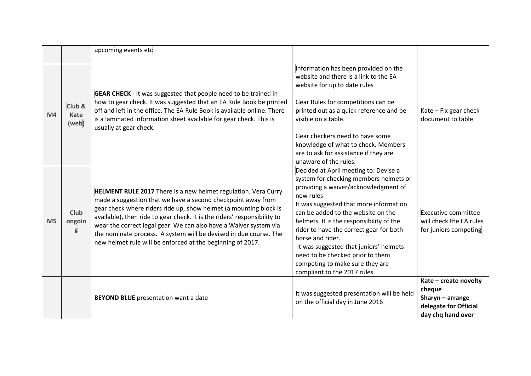|                |                            | upcoming events etc                                                                                                                                                                                                                                                                                                                                                                                                                                                                     |                                                                                                                                                                                                                                                                                                                                                                                                                                                                                  |                                                                                                     |
|----------------|----------------------------|-----------------------------------------------------------------------------------------------------------------------------------------------------------------------------------------------------------------------------------------------------------------------------------------------------------------------------------------------------------------------------------------------------------------------------------------------------------------------------------------|----------------------------------------------------------------------------------------------------------------------------------------------------------------------------------------------------------------------------------------------------------------------------------------------------------------------------------------------------------------------------------------------------------------------------------------------------------------------------------|-----------------------------------------------------------------------------------------------------|
| M <sub>4</sub> | Club &<br>Kate<br>(web)    | <b>GEAR CHECK</b> - It was suggested that people need to be trained in<br>how to gear check. It was suggested that an EA Rule Book be printed<br>off and left in the office. The EA Rule Book is available online. There<br>is a laminated information sheet available for gear check. This is<br>usually at gear check.                                                                                                                                                                | Information has been provided on the<br>website and there is a link to the EA<br>website for up to date rules<br>Gear Rules for competitions can be<br>printed out as a quick reference and be<br>visible on a table.<br>Gear checkers need to have some<br>knowledge of what to check. Members<br>are to ask for assistance if they are<br>unaware of the rules.                                                                                                                | Kate - Fix gear check<br>document to table                                                          |
| M <sub>5</sub> | <b>Club</b><br>ongoin<br>g | HELMENT RULE 2017 There is a new helmet regulation. Vera Curry<br>made a suggestion that we have a second checkpoint away from<br>gear check where riders ride up, show helmet (a mounting block is<br>available), then ride to gear check. It is the riders' responsibility to<br>wear the correct legal gear. We can also have a Waiver system via<br>the nominate process. A system will be devised in due course. The<br>new helmet rule will be enforced at the beginning of 2017. | Decided at April meeting to: Devise a<br>system for checking members helmets or<br>providing a waiver/acknowledgment of<br>new rules<br>It was suggested that more information<br>can be added to the website on the<br>helmets. It is the responsibility of the<br>rider to have the correct gear for both<br>horse and rider.<br>It was suggested that juniors' helmets<br>need to be checked prior to them<br>competing to make sure they are<br>compliant to the 2017 rules. | Executive committee<br>will check the EA rules<br>for juniors competing                             |
|                |                            | <b>BEYOND BLUE</b> presentation want a date                                                                                                                                                                                                                                                                                                                                                                                                                                             | It was suggested presentation will be held<br>on the official day in June 2016                                                                                                                                                                                                                                                                                                                                                                                                   | Kate - create novelty<br>cheque<br>Sharyn $-$ arrange<br>delegate for Official<br>day chq hand over |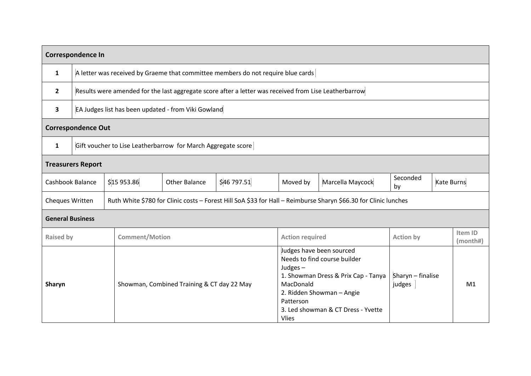| Correspondence In         |                                                                                  |                                                                                                       |                                                                                                                 |                                                                                                                                                                                                                            |          |                             |                |                     |  |  |  |
|---------------------------|----------------------------------------------------------------------------------|-------------------------------------------------------------------------------------------------------|-----------------------------------------------------------------------------------------------------------------|----------------------------------------------------------------------------------------------------------------------------------------------------------------------------------------------------------------------------|----------|-----------------------------|----------------|---------------------|--|--|--|
| 1                         | A letter was received by Graeme that committee members do not require blue cards |                                                                                                       |                                                                                                                 |                                                                                                                                                                                                                            |          |                             |                |                     |  |  |  |
| $\overline{2}$            |                                                                                  | Results were amended for the last aggregate score after a letter was received from Lise Leatherbarrow |                                                                                                                 |                                                                                                                                                                                                                            |          |                             |                |                     |  |  |  |
| $\overline{\mathbf{3}}$   |                                                                                  | EA Judges list has been updated - from Viki Gowland                                                   |                                                                                                                 |                                                                                                                                                                                                                            |          |                             |                |                     |  |  |  |
| <b>Correspondence Out</b> |                                                                                  |                                                                                                       |                                                                                                                 |                                                                                                                                                                                                                            |          |                             |                |                     |  |  |  |
| $\mathbf{1}$              | Gift voucher to Lise Leatherbarrow for March Aggregate score                     |                                                                                                       |                                                                                                                 |                                                                                                                                                                                                                            |          |                             |                |                     |  |  |  |
| <b>Treasurers Report</b>  |                                                                                  |                                                                                                       |                                                                                                                 |                                                                                                                                                                                                                            |          |                             |                |                     |  |  |  |
| Cashbook Balance          |                                                                                  | \$15953.86                                                                                            | <b>Other Balance</b>                                                                                            | \$46797.51                                                                                                                                                                                                                 | Moved by | Marcella Maycock            | Seconded<br>by | Kate Burns          |  |  |  |
| Cheques Written           |                                                                                  |                                                                                                       | Ruth White \$780 for Clinic costs - Forest Hill SoA \$33 for Hall - Reimburse Sharyn \$66.30 for Clinic lunches |                                                                                                                                                                                                                            |          |                             |                |                     |  |  |  |
| <b>General Business</b>   |                                                                                  |                                                                                                       |                                                                                                                 |                                                                                                                                                                                                                            |          |                             |                |                     |  |  |  |
| <b>Raised by</b>          |                                                                                  | <b>Comment/Motion</b>                                                                                 |                                                                                                                 | <b>Action required</b>                                                                                                                                                                                                     |          | <b>Action by</b>            |                | Item ID<br>(month#) |  |  |  |
| Sharyn                    |                                                                                  | Showman, Combined Training & CT day 22 May                                                            |                                                                                                                 | Judges have been sourced<br>Needs to find course builder<br>Judges $-$<br>1. Showman Dress & Prix Cap - Tanya<br>MacDonald<br>2. Ridden Showman - Angie<br>Patterson<br>3. Led showman & CT Dress - Yvette<br><b>Vlies</b> |          | Sharyn - finalise<br>judges |                | M1                  |  |  |  |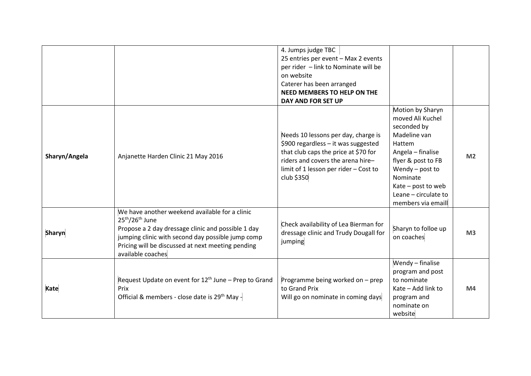|               |                                                                                                                                                                                                                                                         | 4. Jumps judge TBC<br>25 entries per event - Max 2 events<br>per rider - link to Nominate will be<br>on website<br>Caterer has been arranged<br>NEED MEMBERS TO HELP ON THE<br>DAY AND FOR SET UP              |                                                                                                                                                                                                                               |                |
|---------------|---------------------------------------------------------------------------------------------------------------------------------------------------------------------------------------------------------------------------------------------------------|----------------------------------------------------------------------------------------------------------------------------------------------------------------------------------------------------------------|-------------------------------------------------------------------------------------------------------------------------------------------------------------------------------------------------------------------------------|----------------|
| Sharyn/Angela | Anjanette Harden Clinic 21 May 2016                                                                                                                                                                                                                     | Needs 10 lessons per day, charge is<br>\$900 regardless - it was suggested<br>that club caps the price at \$70 for<br>riders and covers the arena hire-<br>limit of 1 lesson per rider - Cost to<br>club \$350 | Motion by Sharyn<br>moved Ali Kuchel<br>seconded by<br>Madeline van<br>Hattem<br>Angela - finalise<br>flyer & post to FB<br>Wendy $-$ post to<br>Nominate<br>Kate - post to web<br>Leane - circulate to<br>members via emaill | M <sub>2</sub> |
| Sharyn        | We have another weekend available for a clinic<br>$25th/26th$ June<br>Propose a 2 day dressage clinic and possible 1 day<br>jumping clinic with second day possible jump comp<br>Pricing will be discussed at next meeting pending<br>available coaches | Check availability of Lea Bierman for<br>dressage clinic and Trudy Dougall for<br>jumping                                                                                                                      | Sharyn to folloe up<br>on coaches                                                                                                                                                                                             | M <sub>3</sub> |
| Kate          | Request Update on event for 12 <sup>th</sup> June - Prep to Grand<br>Prix<br>Official & members - close date is 29 <sup>th</sup> May -                                                                                                                  | Programme being worked on - prep<br>to Grand Prix<br>Will go on nominate in coming days                                                                                                                        | Wendy - finalise<br>program and post<br>to nominate<br>Kate - Add link to<br>program and<br>nominate on<br>website                                                                                                            | M4             |